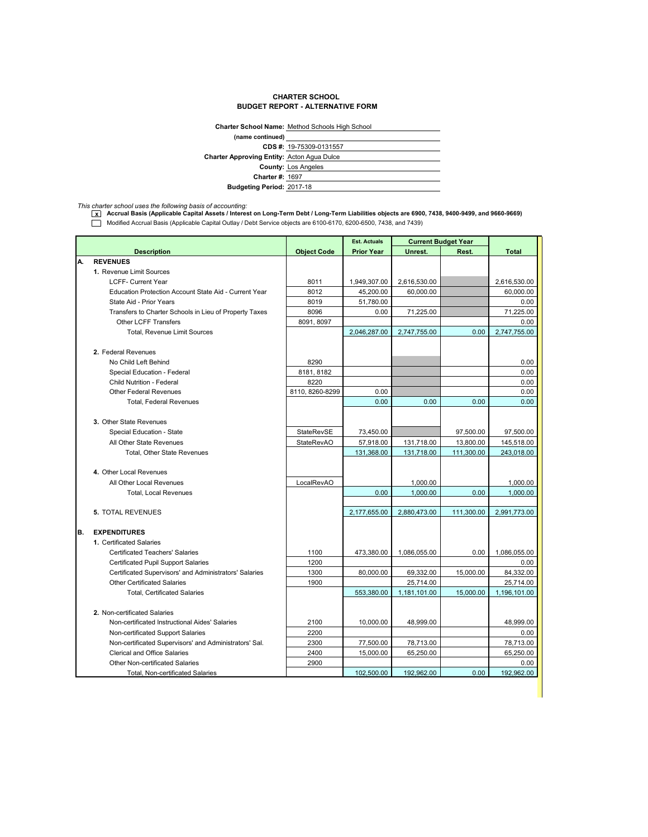## **CHARTER SCHOOL BUDGET REPORT - ALTERNATIVE FORM**

|                                                   | Charter School Name: Method Schools High School |  |  |  |
|---------------------------------------------------|-------------------------------------------------|--|--|--|
| (name continued)                                  |                                                 |  |  |  |
|                                                   | CDS #: 19-75309-0131557                         |  |  |  |
| <b>Charter Approving Entity: Acton Agua Dulce</b> |                                                 |  |  |  |
|                                                   | <b>County: Los Angeles</b>                      |  |  |  |
| <b>Charter #: 1697</b>                            |                                                 |  |  |  |
| <b>Budgeting Period: 2017-18</b>                  |                                                 |  |  |  |

*This charter school uses the following basis of accounting:* **x Accrual Basis (Applicable Capital Assets / Interest on Long-Term Debt / Long-Term Liabilities objects are 6900, 7438, 9400-9499, and 9660-9669)** Modified Accrual Basis (Applicable Capital Outlay / Debt Service objects are 6100-6170, 6200-6500, 7438, and 7439)

|    |                                                        |                    | <b>Est. Actuals</b> | <b>Current Budget Year</b> |            |              |
|----|--------------------------------------------------------|--------------------|---------------------|----------------------------|------------|--------------|
|    | <b>Description</b>                                     | <b>Object Code</b> | <b>Prior Year</b>   | Unrest.                    | Rest.      | <b>Total</b> |
| А. | <b>REVENUES</b>                                        |                    |                     |                            |            |              |
|    | 1. Revenue Limit Sources                               |                    |                     |                            |            |              |
|    | <b>LCFF- Current Year</b>                              | 8011               | 1,949,307.00        | 2,616,530.00               |            | 2,616,530.00 |
|    | Education Protection Account State Aid - Current Year  | 8012               | 45,200.00           | 60.000.00                  |            | 60,000.00    |
|    | State Aid - Prior Years                                | 8019               | 51,780.00           |                            |            | 0.00         |
|    | Transfers to Charter Schools in Lieu of Property Taxes | 8096               | 0.00                | 71,225.00                  |            | 71,225.00    |
|    | <b>Other LCFF Transfers</b>                            | 8091, 8097         |                     |                            |            | 0.00         |
|    | <b>Total, Revenue Limit Sources</b>                    |                    | 2,046,287.00        | 2,747,755.00               | 0.00       | 2,747,755.00 |
|    | 2. Federal Revenues                                    |                    |                     |                            |            |              |
|    | No Child Left Behind                                   | 8290               |                     |                            |            | 0.00         |
|    | Special Education - Federal                            | 8181, 8182         |                     |                            |            | 0.00         |
|    | <b>Child Nutrition - Federal</b>                       | 8220               |                     |                            |            | 0.00         |
|    | <b>Other Federal Revenues</b>                          | 8110.8260-8299     | 0.00                |                            |            | 0.00         |
|    | <b>Total, Federal Revenues</b>                         |                    | 0.00                | 0.00                       | 0.00       | 0.00         |
|    |                                                        |                    |                     |                            |            |              |
|    | 3. Other State Revenues                                |                    |                     |                            |            |              |
|    | Special Education - State                              | StateRevSE         | 73,450.00           |                            | 97,500.00  | 97,500.00    |
|    | All Other State Revenues                               | <b>StateRevAO</b>  | 57,918.00           | 131,718.00                 | 13,800.00  | 145,518.00   |
|    | Total, Other State Revenues                            |                    | 131,368.00          | 131,718.00                 | 111,300.00 | 243,018.00   |
|    |                                                        |                    |                     |                            |            |              |
|    | 4. Other Local Revenues                                |                    |                     |                            |            |              |
|    | All Other Local Revenues                               | LocalRevAO         |                     | 1,000.00                   |            | 1,000.00     |
|    | <b>Total, Local Revenues</b>                           |                    | 0.00                | 1,000.00                   | 0.00       | 1,000.00     |
|    |                                                        |                    |                     |                            |            |              |
|    | <b>5. TOTAL REVENUES</b>                               |                    | 2,177,655.00        | 2,880,473.00               | 111,300.00 | 2,991,773.00 |
|    |                                                        |                    |                     |                            |            |              |
| В. | <b>EXPENDITURES</b>                                    |                    |                     |                            |            |              |
|    | 1. Certificated Salaries                               |                    |                     |                            |            |              |
|    | <b>Certificated Teachers' Salaries</b>                 | 1100               | 473,380.00          | 1,086,055.00               | 0.00       | 1,086,055.00 |
|    | <b>Certificated Pupil Support Salaries</b>             | 1200               |                     |                            |            | 0.00         |
|    | Certificated Supervisors' and Administrators' Salaries | 1300               | 80,000.00           | 69,332.00                  | 15,000.00  | 84,332.00    |
|    | <b>Other Certificated Salaries</b>                     | 1900               |                     | 25,714.00                  |            | 25,714.00    |
|    | <b>Total, Certificated Salaries</b>                    |                    | 553,380.00          | 1,181,101.00               | 15.000.00  | 1.196.101.00 |
|    |                                                        |                    |                     |                            |            |              |
|    | 2. Non-certificated Salaries                           |                    |                     |                            |            |              |
|    | Non-certificated Instructional Aides' Salaries         | 2100               | 10,000.00           | 48,999.00                  |            | 48,999.00    |
|    | Non-certificated Support Salaries                      | 2200               |                     |                            |            | 0.00         |
|    | Non-certificated Supervisors' and Administrators' Sal. | 2300               | 77,500.00           | 78,713.00                  |            | 78,713.00    |
|    | <b>Clerical and Office Salaries</b>                    | 2400               | 15,000.00           | 65,250.00                  |            | 65,250.00    |
|    | <b>Other Non-certificated Salaries</b>                 | 2900               |                     |                            |            | 0.00         |
|    | Total, Non-certificated Salaries                       |                    | 102,500.00          | 192,962.00                 | 0.00       | 192,962.00   |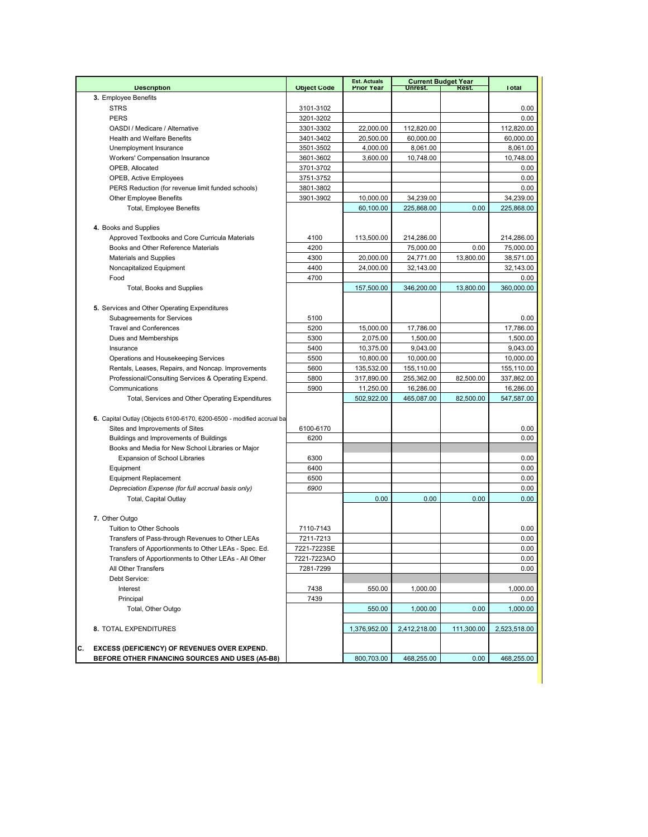|                                                                       |                    | <b>Est. Actuals</b> |              | <b>Current Budget Year</b> |              |
|-----------------------------------------------------------------------|--------------------|---------------------|--------------|----------------------------|--------------|
| <b>Description</b>                                                    | <b>Object Code</b> | <b>Prior Year</b>   | Unrest.      | Rest.                      | <b>Total</b> |
| 3. Employee Benefits                                                  |                    |                     |              |                            |              |
| <b>STRS</b><br><b>PERS</b>                                            | 3101-3102          |                     |              |                            | 0.00         |
|                                                                       | 3201-3202          |                     |              |                            | 0.00         |
| OASDI / Medicare / Alternative                                        | 3301-3302          | 22,000.00           | 112,820.00   |                            | 112,820.00   |
| <b>Health and Welfare Benefits</b>                                    | 3401-3402          | 20,500.00           | 60,000.00    |                            | 60,000.00    |
| Unemployment Insurance                                                | 3501-3502          | 4,000.00            | 8,061.00     |                            | 8,061.00     |
| Workers' Compensation Insurance                                       | 3601-3602          | 3,600.00            | 10,748.00    |                            | 10,748.00    |
| OPEB, Allocated                                                       | 3701-3702          |                     |              |                            | 0.00         |
| <b>OPEB, Active Employees</b>                                         | 3751-3752          |                     |              |                            | 0.00         |
| PERS Reduction (for revenue limit funded schools)                     | 3801-3802          |                     |              |                            | 0.00         |
| <b>Other Employee Benefits</b>                                        | 3901-3902          | 10,000.00           | 34,239.00    |                            | 34,239.00    |
| <b>Total, Employee Benefits</b>                                       |                    | 60,100.00           | 225,868.00   | 0.00                       | 225,868.00   |
|                                                                       |                    |                     |              |                            |              |
| 4. Books and Supplies                                                 |                    |                     |              |                            |              |
| Approved Textbooks and Core Curricula Materials                       | 4100               | 113,500.00          | 214,286.00   |                            | 214,286.00   |
| Books and Other Reference Materials                                   | 4200               |                     | 75,000.00    | 0.00                       | 75,000.00    |
| <b>Materials and Supplies</b>                                         | 4300               | 20,000.00           | 24,771.00    | 13,800.00                  | 38,571.00    |
| Noncapitalized Equipment                                              | 4400               | 24,000.00           | 32,143.00    |                            | 32,143.00    |
| Food                                                                  | 4700               |                     |              |                            | 0.00         |
| Total, Books and Supplies                                             |                    | 157,500.00          | 346,200.00   | 13,800.00                  | 360,000,00   |
|                                                                       |                    |                     |              |                            |              |
| 5. Services and Other Operating Expenditures                          |                    |                     |              |                            |              |
| <b>Subagreements for Services</b>                                     | 5100               |                     |              |                            | 0.00         |
| <b>Travel and Conferences</b>                                         | 5200               | 15,000.00           | 17,786.00    |                            | 17,786.00    |
| Dues and Memberships                                                  | 5300               | 2,075.00            | 1,500.00     |                            | 1,500.00     |
| Insurance                                                             | 5400               | 10,375.00           | 9,043.00     |                            | 9,043.00     |
| Operations and Housekeeping Services                                  | 5500               | 10,800.00           | 10,000.00    |                            | 10,000.00    |
| Rentals, Leases, Repairs, and Noncap. Improvements                    | 5600               | 135,532.00          | 155,110.00   |                            | 155,110.00   |
| Professional/Consulting Services & Operating Expend.                  | 5800               | 317,890.00          | 255,362.00   | 82,500.00                  | 337,862.00   |
| Communications                                                        | 5900               | 11,250.00           | 16,286.00    |                            | 16,286.00    |
| Total, Services and Other Operating Expenditures                      |                    | 502,922.00          | 465,087.00   | 82,500.00                  | 547,587.00   |
|                                                                       |                    |                     |              |                            |              |
| 6. Capital Outlay (Objects 6100-6170, 6200-6500 - modified accrual ba |                    |                     |              |                            |              |
| Sites and Improvements of Sites                                       | 6100-6170          |                     |              |                            | 0.00         |
| Buildings and Improvements of Buildings                               | 6200               |                     |              |                            | 0.00         |
| Books and Media for New School Libraries or Major                     |                    |                     |              |                            |              |
| <b>Expansion of School Libraries</b>                                  | 6300               |                     |              |                            | 0.00         |
| Equipment                                                             | 6400               |                     |              |                            | 0.00         |
| <b>Equipment Replacement</b>                                          | 6500               |                     |              |                            | 0.00         |
| Depreciation Expense (for full accrual basis only)                    | 6900               |                     |              |                            | 0.00         |
| Total, Capital Outlay                                                 |                    | 0.00                | 0.00         | 0.00                       | 0.00         |
|                                                                       |                    |                     |              |                            |              |
| 7. Other Outgo                                                        |                    |                     |              |                            |              |
| Tuition to Other Schools                                              | 7110-7143          |                     |              |                            | 0.00         |
| Transfers of Pass-through Revenues to Other LEAs                      | 7211-7213          |                     |              |                            | 0.00         |
| Transfers of Apportionments to Other LEAs - Spec. Ed.                 | 7221-7223SE        |                     |              |                            | 0.00         |
| Transfers of Apportionments to Other LEAs - All Other                 | 7221-7223AO        |                     |              |                            | 0.00         |
| All Other Transfers                                                   | 7281-7299          |                     |              |                            | 0.00         |
| Debt Service:                                                         |                    |                     |              |                            |              |
| Interest                                                              | 7438               | 550.00              | 1,000.00     |                            | 1,000.00     |
| Principal                                                             | 7439               |                     |              |                            | 0.00         |
| Total, Other Outgo                                                    |                    | 550.00              | 1,000.00     | 0.00                       | 1,000.00     |
|                                                                       |                    |                     |              |                            |              |
| 8. TOTAL EXPENDITURES                                                 |                    | 1,376,952.00        | 2,412,218.00 | 111,300.00                 | 2,523,518.00 |
|                                                                       |                    |                     |              |                            |              |
| С.<br><b>EXCESS (DEFICIENCY) OF REVENUES OVER EXPEND.</b>             |                    |                     |              |                            |              |
| BEFORE OTHER FINANCING SOURCES AND USES (A5-B8)                       |                    | 800,703.00          | 468,255.00   | 0.00                       | 468,255.00   |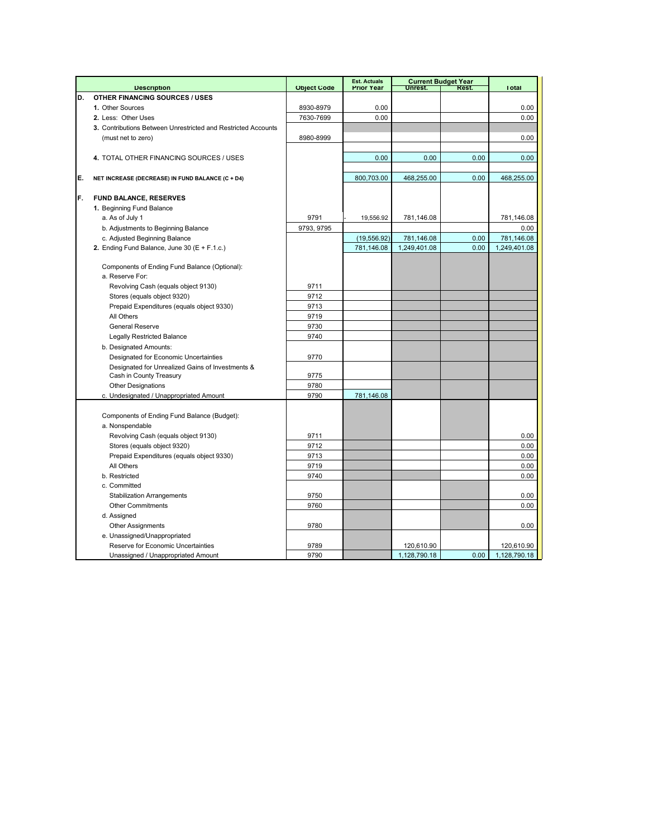|    |                                                               |                    | <b>Est. Actuals</b> |                            | <b>Current Budget Year</b> |                            |
|----|---------------------------------------------------------------|--------------------|---------------------|----------------------------|----------------------------|----------------------------|
|    | <b>Description</b>                                            | <b>Object Code</b> | <b>Prior Year</b>   | Unrest.                    | Rest.                      | <b>Total</b>               |
| D. | <b>OTHER FINANCING SOURCES / USES</b>                         |                    |                     |                            |                            |                            |
|    | 1. Other Sources                                              | 8930-8979          | 0.00                |                            |                            | 0.00                       |
|    | 2. Less: Other Uses                                           | 7630-7699          | 0.00                |                            |                            | 0.00                       |
|    | 3. Contributions Between Unrestricted and Restricted Accounts |                    |                     |                            |                            |                            |
|    | (must net to zero)                                            | 8980-8999          |                     |                            |                            | 0.00                       |
|    |                                                               |                    |                     |                            |                            |                            |
|    | 4. TOTAL OTHER FINANCING SOURCES / USES                       |                    | 0.00                | 0.00                       | 0.00                       | 0.00                       |
|    |                                                               |                    |                     |                            |                            |                            |
| E. | NET INCREASE (DECREASE) IN FUND BALANCE (C + D4)              |                    | 800,703.00          | 468,255.00                 | 0.00                       | 468,255.00                 |
| F. | FUND BALANCE, RESERVES                                        |                    |                     |                            |                            |                            |
|    | 1. Beginning Fund Balance                                     |                    |                     |                            |                            |                            |
|    | a. As of July 1                                               | 9791               | 19,556.92           | 781,146.08                 |                            | 781,146.08                 |
|    | b. Adjustments to Beginning Balance                           | 9793, 9795         |                     |                            |                            | 0.00                       |
|    | c. Adjusted Beginning Balance                                 |                    | (19, 556.92)        | 781,146.08                 | 0.00                       | 781,146.08                 |
|    | 2. Ending Fund Balance, June 30 ( $E + F.1.c.$ )              |                    | 781,146.08          | 1,249,401.08               | 0.00                       | 1,249,401.08               |
|    |                                                               |                    |                     |                            |                            |                            |
|    | Components of Ending Fund Balance (Optional):                 |                    |                     |                            |                            |                            |
|    | a. Reserve For:                                               |                    |                     |                            |                            |                            |
|    | Revolving Cash (equals object 9130)                           | 9711               |                     |                            |                            |                            |
|    | Stores (equals object 9320)                                   | 9712               |                     |                            |                            |                            |
|    | Prepaid Expenditures (equals object 9330)                     | 9713               |                     |                            |                            |                            |
|    | All Others                                                    | 9719               |                     |                            |                            |                            |
|    | <b>General Reserve</b>                                        | 9730               |                     |                            |                            |                            |
|    | <b>Legally Restricted Balance</b>                             | 9740               |                     |                            |                            |                            |
|    | b. Designated Amounts:                                        |                    |                     |                            |                            |                            |
|    | Designated for Economic Uncertainties                         | 9770               |                     |                            |                            |                            |
|    | Designated for Unrealized Gains of Investments &              |                    |                     |                            |                            |                            |
|    | Cash in County Treasury                                       | 9775               |                     |                            |                            |                            |
|    | <b>Other Designations</b>                                     | 9780               |                     |                            |                            |                            |
|    | c. Undesignated / Unappropriated Amount                       | 9790               | 781,146.08          |                            |                            |                            |
|    |                                                               |                    |                     |                            |                            |                            |
|    | Components of Ending Fund Balance (Budget):                   |                    |                     |                            |                            |                            |
|    | a. Nonspendable                                               |                    |                     |                            |                            |                            |
|    | Revolving Cash (equals object 9130)                           | 9711               |                     |                            |                            | 0.00                       |
|    | Stores (equals object 9320)                                   | 9712               |                     |                            |                            | 0.00                       |
|    | Prepaid Expenditures (equals object 9330)                     | 9713               |                     |                            |                            | 0.00                       |
|    | All Others                                                    | 9719               |                     |                            |                            | 0.00                       |
|    | b. Restricted                                                 | 9740               |                     |                            |                            | 0.00                       |
|    | c. Committed                                                  |                    |                     |                            |                            |                            |
|    | <b>Stabilization Arrangements</b>                             | 9750               |                     |                            |                            | 0.00                       |
|    | <b>Other Commitments</b>                                      | 9760               |                     |                            |                            | 0.00                       |
|    | d. Assigned                                                   |                    |                     |                            |                            |                            |
|    | <b>Other Assignments</b>                                      | 9780               |                     |                            |                            | 0.00                       |
|    | e. Unassigned/Unappropriated                                  |                    |                     |                            |                            |                            |
|    | Reserve for Economic Uncertainties                            | 9789<br>9790       |                     | 120,610.90<br>1,128,790.18 | 0.00                       | 120,610.90<br>1,128,790.18 |
|    | Unassigned / Unappropriated Amount                            |                    |                     |                            |                            |                            |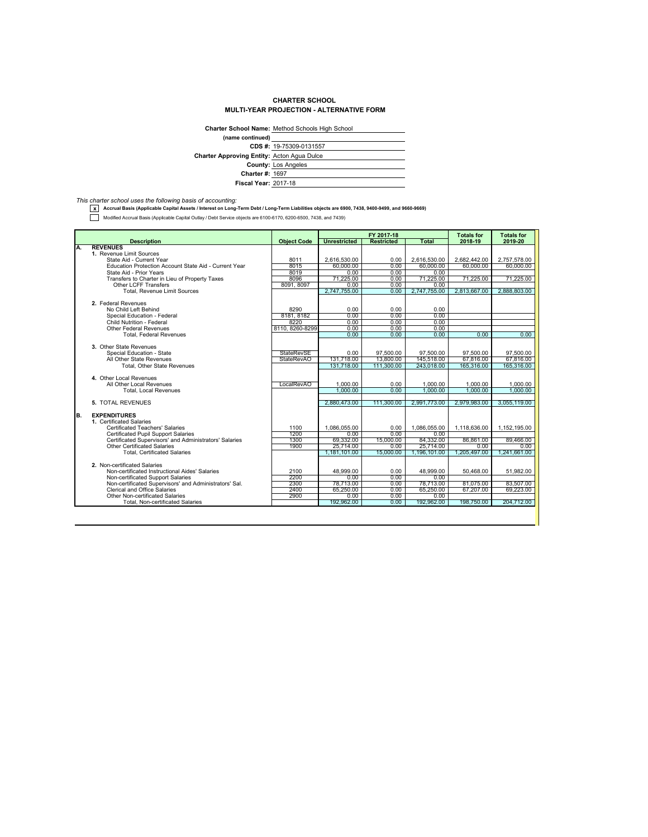## **CHARTER SCHOOL MULTI-YEAR PROJECTION - ALTERNATIVE FORM**

|                                                   | Charter School Name: Method Schools High School |
|---------------------------------------------------|-------------------------------------------------|
| (name continued)                                  |                                                 |
|                                                   | CDS #: 19-75309-0131557                         |
| <b>Charter Approving Entity: Acton Agua Dulce</b> |                                                 |
|                                                   | <b>County: Los Angeles</b>                      |
| <b>Charter #: 1697</b>                            |                                                 |
| <b>Fiscal Year: 2017-18</b>                       |                                                 |

*This charter school uses the following basis of accounting:* **x Accrual Basis (Applicable Capital Assets / Interest on Long-Term Debt / Long-Term Liabilities objects are 6900, 7438, 9400-9499, and 9660-9669)**

Modified Accrual Basis (Applicable Capital Outlay / Debt Service objects are 6100-6170, 6200-6500, 7438, and 7439)

|    |                                                                                               |                    | FY 2017-18             |                   | <b>Totals for</b>      | <b>Totals for</b>      |                        |
|----|-----------------------------------------------------------------------------------------------|--------------------|------------------------|-------------------|------------------------|------------------------|------------------------|
|    | <b>Description</b>                                                                            | <b>Object Code</b> | <b>Unrestricted</b>    | <b>Restricted</b> | Total                  | 2018-19                | 2019-20                |
| Α. | <b>REVENUES</b>                                                                               |                    |                        |                   |                        |                        |                        |
|    | 1. Revenue Limit Sources                                                                      |                    |                        |                   |                        |                        |                        |
|    | State Aid - Current Year                                                                      | 8011               | 2.616.530.00           | 0.00              | 2.616.530.00           | 2.682.442.00           | 2.757.578.00           |
|    | Education Protection Account State Aid - Current Year                                         | 8015               | 60,000.00              | 0.00              | 60.000.00              | 60,000.00              | 60,000,00              |
|    | State Aid - Prior Years                                                                       | 8019               | 0.00                   | 0.00              | 0.00                   |                        |                        |
|    | Transfers to Charter in Lieu of Property Taxes                                                | 8096               | 71.225.00              | 0.00              | 71.225.00              | 71,225.00              | 71.225.00              |
|    | <b>Other LCFF Transfers</b>                                                                   | 8091, 8097         | 0.00                   | 0.00              | 0.00                   |                        |                        |
|    | Total, Revenue Limit Sources                                                                  |                    | 2,747,755.00           | 0.00              | 2,747,755.00           | 2,813,667.00           | 2,888,803.00           |
|    |                                                                                               |                    |                        |                   |                        |                        |                        |
|    | 2. Federal Revenues                                                                           |                    |                        |                   |                        |                        |                        |
|    | No Child Left Behind                                                                          | 8290               | 0.00                   | 0.00              | 0.00                   |                        |                        |
|    | Special Education - Federal                                                                   | 8181, 8182         | 0.00                   | 0.00              | 0.00                   |                        |                        |
|    | Child Nutrition - Federal                                                                     | 8220               | 0.00                   | 0.00              | 0.00                   |                        |                        |
|    | <b>Other Federal Revenues</b>                                                                 | 8110.8260-8299     | 0.00                   | 0.00              | 0.00                   |                        |                        |
|    | <b>Total, Federal Revenues</b>                                                                |                    | 0.00                   | 0.00              | 0.00                   | 0.00                   | 0.00                   |
|    | 3. Other State Revenues                                                                       |                    |                        |                   |                        |                        |                        |
|    | Special Education - State                                                                     | <b>StateRevSE</b>  | 0.00                   | 97,500.00         | 97,500.00              | 97,500.00              | 97,500.00              |
|    | All Other State Revenues                                                                      | <b>StateRevAO</b>  | 131,718.00             | 13.800.00         | 145,518.00             | 67,816.00              | 67,816,00              |
|    | <b>Total. Other State Revenues</b>                                                            |                    | 131.718.00             | 111.300.00        | 243,018.00             | 165,316,00             | 165.316.00             |
|    |                                                                                               |                    |                        |                   |                        |                        |                        |
|    | 4. Other Local Revenues                                                                       |                    |                        |                   |                        |                        |                        |
|    | All Other Local Revenues                                                                      | LocalRevAO         | 1.000.00               | 0.00              | 1.000.00               | 1.000.00               | 1,000.00               |
|    | <b>Total, Local Revenues</b>                                                                  |                    | 1.000.00               | 0.00              | 1.000.00               | 1.000.00               | 1.000.00               |
|    |                                                                                               |                    |                        |                   |                        |                        |                        |
|    | 5. TOTAL REVENUES                                                                             |                    | 2.880.473.00           | 111.300.00        | 2.991.773.00           | 2.979.983.00           | 3.055.119.00           |
|    |                                                                                               |                    |                        |                   |                        |                        |                        |
| B. | <b>EXPENDITURES</b>                                                                           |                    |                        |                   |                        |                        |                        |
|    | 1. Certificated Salaries                                                                      |                    |                        |                   |                        |                        |                        |
|    | Certificated Teachers' Salaries                                                               | 1100               | 1.086.055.00           | 0.00              | 1.086.055.00           | 1.118.636.00           | 1,152,195.00           |
|    | <b>Certificated Pupil Support Salaries</b>                                                    | 1200               | 0.00                   | 0.00              | 0.00                   |                        |                        |
|    | Certificated Supervisors' and Administrators' Salaries                                        | 1300               | 69,332.00              | 15,000.00         | 84,332.00              | 86,861.00              | 89,466.00              |
|    | <b>Other Certificated Salaries</b>                                                            | 1900               | 25.714.00              | 0.00              | 25,714.00              | 0.00                   | 0.00                   |
|    | <b>Total, Certificated Salaries</b>                                                           |                    | 1.181.101.00           | 15,000.00         | 1.196.101.00           | 1.205.497.00           | 1.241.661.00           |
|    | 2. Non-certificated Salaries                                                                  |                    |                        |                   |                        |                        |                        |
|    | Non-certificated Instructional Aides' Salaries                                                | 2100               | 48.999.00              | 0.00              | 48.999.00              | 50.468.00              |                        |
|    |                                                                                               | 2200               |                        |                   |                        |                        | 51,982.00              |
|    | Non-certificated Support Salaries                                                             |                    | 0.00                   | 0.00              | 0.00                   |                        |                        |
|    | Non-certificated Supervisors' and Administrators' Sal.<br><b>Clerical and Office Salaries</b> | 2300<br>2400       | 78,713.00<br>65,250.00 | 0.00<br>0.00      | 78,713.00<br>65.250.00 | 81.075.00<br>67,207.00 | 83,507.00<br>69,223.00 |
|    | Other Non-certificated Salaries                                                               | 2900               |                        |                   |                        |                        |                        |
|    | <b>Total, Non-certificated Salaries</b>                                                       |                    | 0.00<br>192,962.00     | 0.00<br>0.00      | 0.00<br>192,962.00     | 198.750.00             | 204,712.00             |
|    |                                                                                               |                    |                        |                   |                        |                        |                        |
|    |                                                                                               |                    |                        |                   |                        |                        |                        |
|    |                                                                                               |                    |                        |                   |                        |                        |                        |
|    |                                                                                               |                    |                        |                   |                        |                        |                        |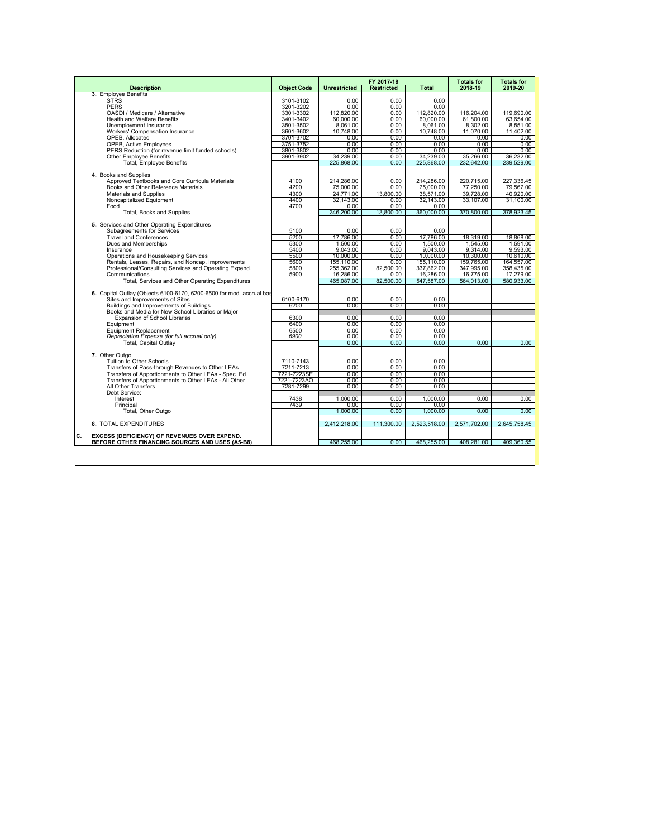|                                                                                                              |                        |                         | FY 2017-18        |                         | <b>Totals for</b>       | <b>Totals for</b>       |
|--------------------------------------------------------------------------------------------------------------|------------------------|-------------------------|-------------------|-------------------------|-------------------------|-------------------------|
| <b>Description</b>                                                                                           | <b>Object Code</b>     | <b>Unrestricted</b>     | <b>Restricted</b> | Total                   | 2018-19                 | 2019-20                 |
| 3. Employee Benefits                                                                                         |                        |                         |                   |                         |                         |                         |
| <b>STRS</b>                                                                                                  | 3101-3102              | 0.00                    | $0.00 -$          | $0.00 -$                |                         |                         |
| <b>PERS</b>                                                                                                  | 3201-3202              | 0.00                    | 0.00              | 0.00                    |                         |                         |
| OASDI / Medicare / Alternative<br><b>Health and Welfare Benefits</b>                                         | 3301-3302<br>3401-3402 | 112,820.00<br>60,000.00 | 0.00<br>0.00      | 112.820.00<br>60,000.00 | 116.204.00<br>61,800.00 | 119,690.00<br>63.654.00 |
| Unemployment Insurance                                                                                       |                        | 8.061.00                | 0.00              |                         | 8.302.00                |                         |
| Workers' Compensation Insurance                                                                              | 3501-3502<br>3601-3602 | 10.748.00               | 0.00              | 8,061.00<br>10.748.00   | 11.070.00               | 8,551.00<br>11.402.00   |
| OPEB. Allocated                                                                                              | 3701-3702              | 0.00                    | 0.00              | 0.00                    | 0.00                    | 0.00                    |
| <b>OPEB, Active Employees</b>                                                                                | 3751-3752              | 0.00                    | 0.00              | 0.00                    | 0.00                    | 0.00                    |
| PERS Reduction (for revenue limit funded schools)                                                            | 3801-3802              | 0.00                    | 0.00              | 0.00                    | 0.00                    | 0.00                    |
| <b>Other Employee Benefits</b>                                                                               | 3901-3902              | 34,239.00               | 0.00              | 34.239.00               | 35.266.00               | 36,232.00               |
| <b>Total, Employee Benefits</b>                                                                              |                        | 225,868.00              | 0.00              | 225,868.00              | 232,642.00              | 239,529.00              |
|                                                                                                              |                        |                         |                   |                         |                         |                         |
| 4. Books and Supplies                                                                                        |                        |                         |                   |                         |                         |                         |
| Approved Textbooks and Core Curricula Materials                                                              | 4100                   | 214.286.00              | 0.00              | 214.286.00              | 220.715.00              | 227.336.45              |
| Books and Other Reference Materials                                                                          | 4200                   | 75.000.00               | 0.00              | 75,000.00               | 77.250.00               | 79,567.00               |
| Materials and Supplies                                                                                       | 4300                   | 24.771.00               | 13,800.00         | 38.571.00               | 39.728.00               | 40.920.00               |
| Noncapitalized Equipment                                                                                     | 4400                   | 32,143.00               | 0.00              | 32,143.00               | 33.107.00               | 31.100.00               |
| Food                                                                                                         | 4700                   | 0.00                    | 0.00              | 0.00                    |                         |                         |
| Total, Books and Supplies                                                                                    |                        | 346,200.00              | 13,800.00         | 360,000.00              | 370,800.00              | 378.923.45              |
|                                                                                                              |                        |                         |                   |                         |                         |                         |
| 5. Services and Other Operating Expenditures                                                                 |                        |                         |                   |                         |                         |                         |
| Subagreements for Services                                                                                   | 5100                   | 0.00                    | 0.00              | 0.00                    |                         |                         |
| <b>Travel and Conferences</b>                                                                                | 5200                   | 17.786.00               | $0.00 -$          | 17.786.00               | 18.319.00               | 18.868.00               |
| Dues and Memberships                                                                                         | 5300                   | 1.500.00                | 0.00              | 1.500.00                | 1.545.00                | 1.591.00                |
| Insurance                                                                                                    | 5400                   | 9.043.00                | 0.00              | 9.043.00                | 9.314.00                | 9.593.00                |
| Operations and Housekeeping Services                                                                         | 5500                   | 10.000.00               | 0.00              | 10.000.00               | 10.300.00               | 10.610.00               |
| Rentals, Leases, Repairs, and Noncap. Improvements                                                           | 5600                   | 155,110.00              | 0.00              | 155,110.00              | 159,765.00              | 164,557.00              |
| Professional/Consulting Services and Operating Expend.                                                       | 5800                   | 255,362.00              | 82.500.00         | 337,862.00              | 347,995.00              | 358,435.00              |
| Communications                                                                                               | 5900                   | 16.286.00               | $0.00 -$          | 16,286.00               | 16.775.00               | 17,279.00               |
| Total, Services and Other Operating Expenditures                                                             |                        | 465,087.00              | 82,500.00         | 547,587.00              | 564,013.00              | 580,933.00              |
| 6. Capital Outlay (Objects 6100-6170, 6200-6500 for mod, accrual bas                                         |                        |                         |                   |                         |                         |                         |
| Sites and Improvements of Sites                                                                              | 6100-6170              | 0.00                    | 0.00              | 0.00                    |                         |                         |
| Buildings and Improvements of Buildings                                                                      | 6200                   | 0.00                    | 0.00              | 0.00                    |                         |                         |
| Books and Media for New School Libraries or Maior                                                            |                        |                         |                   |                         |                         |                         |
| <b>Expansion of School Libraries</b>                                                                         | 6300                   | 0.00                    | 0.00              | 0.00                    |                         |                         |
| Equipment                                                                                                    | 6400                   | 0.00                    | 0.00              | 0.00                    |                         |                         |
| <b>Equipment Replacement</b>                                                                                 | 6500                   | 0.00                    | 0.00              | 0.00                    |                         |                         |
| Depreciation Expense (for full accrual only)                                                                 | 6900                   | 0.00                    | 0.00              | 0.00                    |                         |                         |
| <b>Total, Capital Outlav</b>                                                                                 |                        | 0.00                    | 0.00              | 0.00                    | 0.00                    | 0.00                    |
|                                                                                                              |                        |                         |                   |                         |                         |                         |
| 7. Other Outgo                                                                                               |                        |                         |                   |                         |                         |                         |
| Tuition to Other Schools                                                                                     | 7110-7143              | 0.00                    | 0.00              | 0.00                    |                         |                         |
| Transfers of Pass-through Revenues to Other LEAs                                                             | 7211-7213              | 0.00                    | 0.00              | 0.00                    |                         |                         |
| Transfers of Apportionments to Other LEAs - Spec. Ed.                                                        | 7221-7223SE            | 0.00                    | 0.00              | 0.00                    |                         |                         |
| Transfers of Apportionments to Other LEAs - All Other                                                        | 7221-7223AO            | 0.00                    | 0.00              | 0.00                    |                         |                         |
| All Other Transfers                                                                                          | 7281-7299              | 0.00                    | 0.00              | 0.00                    |                         |                         |
| Debt Service:                                                                                                |                        |                         |                   |                         |                         |                         |
| Interest                                                                                                     | 7438                   | 1,000.00                | 0.00              | 1,000.00                | 0.00                    | 0.00                    |
| Principal                                                                                                    | 7439                   | 0.00                    | 0.00              | 0.00                    |                         |                         |
| Total, Other Outgo                                                                                           |                        | 1.000.00                | 0.00              | 1.000.00                | 0.00                    | 0.00                    |
|                                                                                                              |                        |                         |                   |                         |                         |                         |
| 8. TOTAL EXPENDITURES                                                                                        |                        | 2.412.218.00            | 111.300.00        | 2,523,518.00            | 2.571.702.00            | 2.645.758.45            |
|                                                                                                              |                        |                         |                   |                         |                         |                         |
| c.<br><b>EXCESS (DEFICIENCY) OF REVENUES OVER EXPEND.</b><br>BEFORE OTHER FINANCING SOURCES AND USES (A5-B8) |                        | 468,255.00              | 0.00              | 468,255.00              | 408,281.00              | 409,360.55              |
|                                                                                                              |                        |                         |                   |                         |                         |                         |
|                                                                                                              |                        |                         |                   |                         |                         |                         |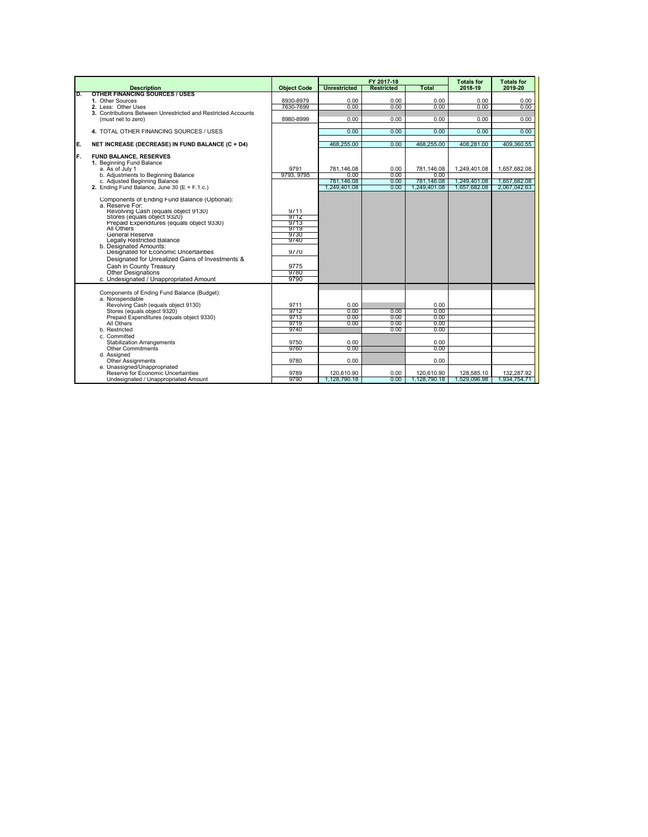|     |                                                                      |                        |                     | FY 2017-18        |                    | <b>Totals for</b> | <b>Totals for</b> |
|-----|----------------------------------------------------------------------|------------------------|---------------------|-------------------|--------------------|-------------------|-------------------|
|     | <b>Description</b>                                                   | <b>Object Code</b>     | <b>Unrestricted</b> | <b>Restricted</b> | <b>Total</b>       | 2018-19           | 2019-20           |
| O.  | <b>OTHER FINANCING SOURCES / USES</b><br>1. Other Sources            |                        |                     | 0.00              | 0.00               |                   | 0.00              |
|     | 2. Less: Other Uses                                                  | 8930-8979<br>7630-7699 | 0.00<br>0.00        | 0.00              | 0.00               | 0.00<br>0.00      | 0.00              |
|     | 3. Contributions Between Unrestricted and Restricted Accounts        |                        |                     |                   |                    |                   |                   |
|     | (must net to zero)                                                   | 8980-8999              | 0.00                | 0.00              | 0.00               | 0.00              | 0.00              |
|     |                                                                      |                        |                     |                   |                    |                   |                   |
|     | 4. TOTAL OTHER FINANCING SOURCES / USES                              |                        | 0.00                | 0.00              | 0.00               | 0.00              | 0.00              |
| E.  | NET INCREASE (DECREASE) IN FUND BALANCE (C + D4)                     |                        | 468,255.00          | 0.00              | 468.255.00         | 408.281.00        | 409.360.55        |
| IF. | <b>FUND BALANCE, RESERVES</b>                                        |                        |                     |                   |                    |                   |                   |
|     | 1. Beginning Fund Balance                                            |                        |                     |                   |                    |                   |                   |
|     | a. As of July 1                                                      | 9791                   | 781.146.08          | 0.00              | 781.146.08         | 1.249.401.08      | 1.657.682.08      |
|     | b. Adjustments to Beginning Balance<br>c. Adjusted Beginning Balance | 9793, 9795             | 0.00<br>781.146.08  | 0.00<br>0.00      | 0.00<br>781,146.08 | 1,249,401.08      | 1,657,682.08      |
|     | 2. Ending Fund Balance. June 30 ( $E + F$ .1.c.)                     |                        | 1.249.401.08        | 0.00              | 1.249.401.08       | 1.657.682.08      | 2.067.042.63      |
|     |                                                                      |                        |                     |                   |                    |                   |                   |
|     | Components of Ending Fund Balance (Optional):                        |                        |                     |                   |                    |                   |                   |
|     | a. Reserve For:                                                      | 9711                   |                     |                   |                    |                   |                   |
|     | Revolving Cash (equals object 9130)<br>Stores (equals object 9320)   | 9712                   |                     |                   |                    |                   |                   |
|     | Prepaid Expenditures (equals object 9330)                            | 9713                   |                     |                   |                    |                   |                   |
|     | All Others                                                           | 9719                   |                     |                   |                    |                   |                   |
|     | <b>General Reserve</b>                                               | 9730                   |                     |                   |                    |                   |                   |
|     | Legally Restricted Balance<br>b. Designated Amounts:                 | 9740                   |                     |                   |                    |                   |                   |
|     | Designated for Economic Uncertainties                                | 9770                   |                     |                   |                    |                   |                   |
|     | Designated for Unrealized Gains of Investments &                     |                        |                     |                   |                    |                   |                   |
|     | Cash in County Treasury                                              | 9775                   |                     |                   |                    |                   |                   |
|     | <b>Other Designations</b>                                            | 9780                   |                     |                   |                    |                   |                   |
|     | c. Undesignated / Unappropriated Amount                              | 9790                   |                     |                   |                    |                   |                   |
|     |                                                                      |                        |                     |                   |                    |                   |                   |
|     | Components of Ending Fund Balance (Budget):                          |                        |                     |                   |                    |                   |                   |
|     | a. Nonspendable<br>Revolving Cash (equals object 9130)               | 9711                   | 0.00                |                   | 0.00               |                   |                   |
|     | Stores (equals object 9320)                                          | 9712                   | 0.00                | 0.00              | 0.00               |                   |                   |
|     | Prepaid Expenditures (equals object 9330)                            | 9713                   | 0.00                | 0.00              | 0.00               |                   |                   |
|     | All Others                                                           | 9719                   | 0.00                | 0.00              | 0.00               |                   |                   |
|     | b. Restricted                                                        | 9740                   |                     | 0.00              | 0.00               |                   |                   |
|     | c. Committed<br><b>Stabilization Arrangements</b>                    | 9750                   | 0.00                |                   | 0.00               |                   |                   |
|     | <b>Other Commitments</b>                                             | 9760                   | 0.00                |                   | 0.00               |                   |                   |
|     | d. Assianed                                                          |                        |                     |                   |                    |                   |                   |
|     | <b>Other Assignments</b>                                             | 9780                   | 0.00                |                   | 0.00               |                   |                   |
|     | e. Unassigned/Unappropriated                                         |                        |                     |                   |                    |                   |                   |
|     | Reserve for Economic Uncertainties                                   | 9789                   | 120.610.90          | 0.00              | 120.610.90         | 128,585.10        | 132.287.92        |
|     | Undesignated / Unappropriated Amount                                 | 9790                   | 1.128.790.18        | 0.00              | 1.128,790.18       | 1.529.096.98      | 1.934.754.71      |